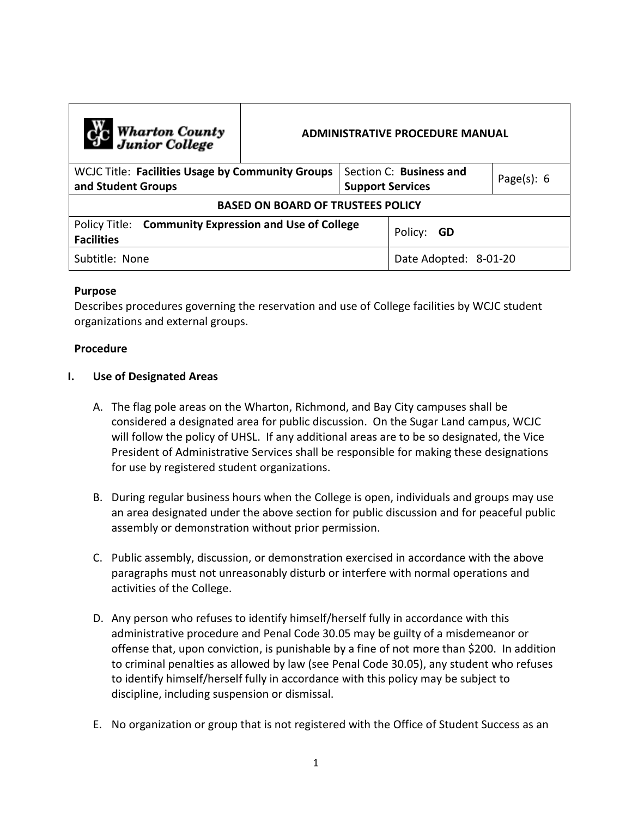| <b>Computer</b> Wharton County<br><b>ADMINISTRATIVE PROCEDURE MANUAL</b>   |  |                         |                       |                |
|----------------------------------------------------------------------------|--|-------------------------|-----------------------|----------------|
| <b>WCJC Title: Facilities Usage by Community Groups</b>                    |  | Section C: Business and |                       | Page $(s)$ : 6 |
| and Student Groups                                                         |  | <b>Support Services</b> |                       |                |
| <b>BASED ON BOARD OF TRUSTEES POLICY</b>                                   |  |                         |                       |                |
| Policy Title: Community Expression and Use of College<br><b>Facilities</b> |  | Policy: GD              |                       |                |
| Subtitle: None                                                             |  |                         | Date Adopted: 8-01-20 |                |

## **Purpose**

Describes procedures governing the reservation and use of College facilities by WCJC student organizations and external groups.

## **Procedure**

## **I. Use of Designated Areas**

- A. The flag pole areas on the Wharton, Richmond, and Bay City campuses shall be considered a designated area for public discussion. On the Sugar Land campus, WCJC will follow the policy of UHSL. If any additional areas are to be so designated, the Vice President of Administrative Services shall be responsible for making these designations for use by registered student organizations.
- B. During regular business hours when the College is open, individuals and groups may use an area designated under the above section for public discussion and for peaceful public assembly or demonstration without prior permission.
- C. Public assembly, discussion, or demonstration exercised in accordance with the above paragraphs must not unreasonably disturb or interfere with normal operations and activities of the College.
- D. Any person who refuses to identify himself/herself fully in accordance with this administrative procedure and Penal Code 30.05 may be guilty of a misdemeanor or offense that, upon conviction, is punishable by a fine of not more than \$200. In addition to criminal penalties as allowed by law (see Penal Code 30.05), any student who refuses to identify himself/herself fully in accordance with this policy may be subject to discipline, including suspension or dismissal.
- E. No organization or group that is not registered with the Office of Student Success as an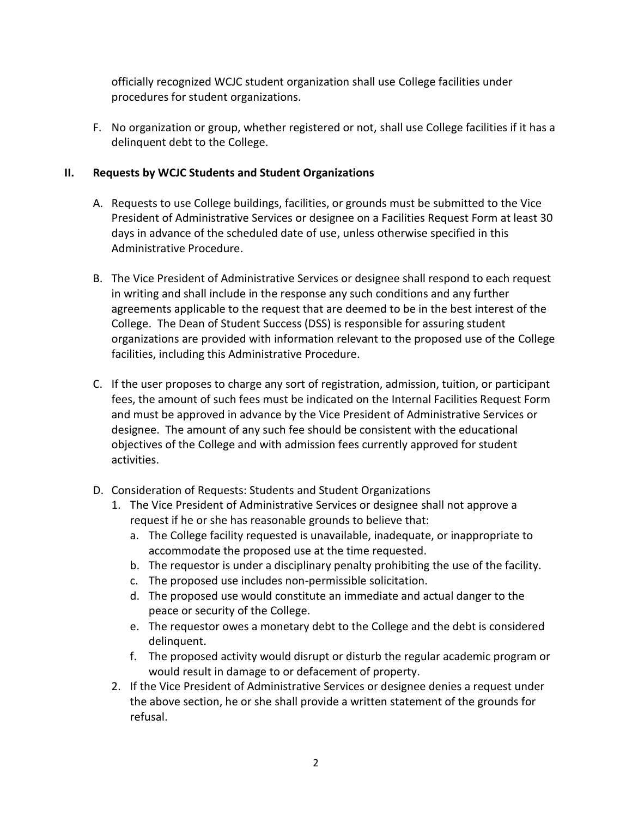officially recognized WCJC student organization shall use College facilities under procedures for student organizations.

F. No organization or group, whether registered or not, shall use College facilities if it has a delinquent debt to the College.

# **II. Requests by WCJC Students and Student Organizations**

- A. Requests to use College buildings, facilities, or grounds must be submitted to the Vice President of Administrative Services or designee on a Facilities Request Form at least 30 days in advance of the scheduled date of use, unless otherwise specified in this Administrative Procedure.
- B. The Vice President of Administrative Services or designee shall respond to each request in writing and shall include in the response any such conditions and any further agreements applicable to the request that are deemed to be in the best interest of the College. The Dean of Student Success (DSS) is responsible for assuring student organizations are provided with information relevant to the proposed use of the College facilities, including this Administrative Procedure.
- C. If the user proposes to charge any sort of registration, admission, tuition, or participant fees, the amount of such fees must be indicated on the Internal Facilities Request Form and must be approved in advance by the Vice President of Administrative Services or designee. The amount of any such fee should be consistent with the educational objectives of the College and with admission fees currently approved for student activities.
- D. Consideration of Requests: Students and Student Organizations
	- 1. The Vice President of Administrative Services or designee shall not approve a request if he or she has reasonable grounds to believe that:
		- a. The College facility requested is unavailable, inadequate, or inappropriate to accommodate the proposed use at the time requested.
		- b. The requestor is under a disciplinary penalty prohibiting the use of the facility.
		- c. The proposed use includes non-permissible solicitation.
		- d. The proposed use would constitute an immediate and actual danger to the peace or security of the College.
		- e. The requestor owes a monetary debt to the College and the debt is considered delinquent.
		- f. The proposed activity would disrupt or disturb the regular academic program or would result in damage to or defacement of property.
	- 2. If the Vice President of Administrative Services or designee denies a request under the above section, he or she shall provide a written statement of the grounds for refusal.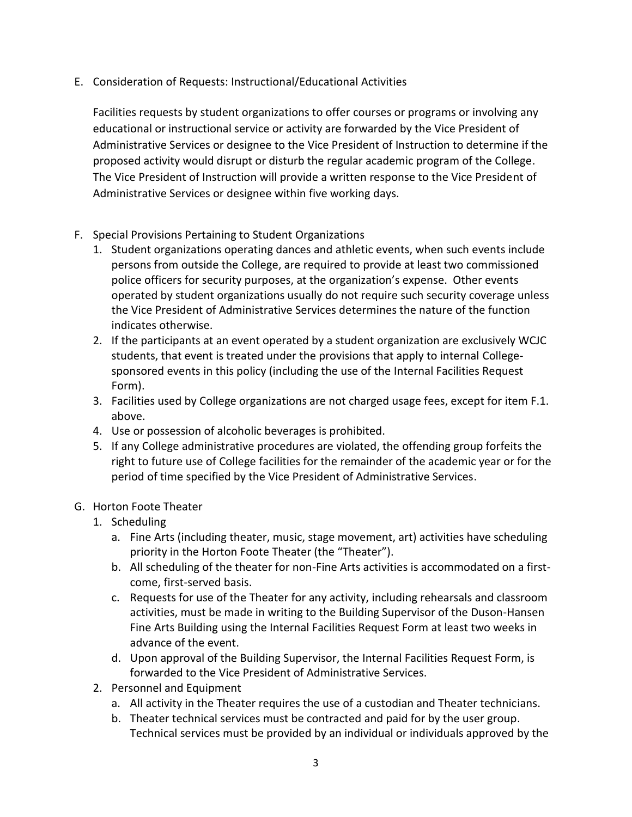E. Consideration of Requests: Instructional/Educational Activities

Facilities requests by student organizations to offer courses or programs or involving any educational or instructional service or activity are forwarded by the Vice President of Administrative Services or designee to the Vice President of Instruction to determine if the proposed activity would disrupt or disturb the regular academic program of the College. The Vice President of Instruction will provide a written response to the Vice President of Administrative Services or designee within five working days.

- F. Special Provisions Pertaining to Student Organizations
	- 1. Student organizations operating dances and athletic events, when such events include persons from outside the College, are required to provide at least two commissioned police officers for security purposes, at the organization's expense. Other events operated by student organizations usually do not require such security coverage unless the Vice President of Administrative Services determines the nature of the function indicates otherwise.
	- 2. If the participants at an event operated by a student organization are exclusively WCJC students, that event is treated under the provisions that apply to internal Collegesponsored events in this policy (including the use of the Internal Facilities Request Form).
	- 3. Facilities used by College organizations are not charged usage fees, except for item F.1. above.
	- 4. Use or possession of alcoholic beverages is prohibited.
	- 5. If any College administrative procedures are violated, the offending group forfeits the right to future use of College facilities for the remainder of the academic year or for the period of time specified by the Vice President of Administrative Services.

# G. Horton Foote Theater

- 1. Scheduling
	- a. Fine Arts (including theater, music, stage movement, art) activities have scheduling priority in the Horton Foote Theater (the "Theater").
	- b. All scheduling of the theater for non-Fine Arts activities is accommodated on a firstcome, first-served basis.
	- c. Requests for use of the Theater for any activity, including rehearsals and classroom activities, must be made in writing to the Building Supervisor of the Duson-Hansen Fine Arts Building using the Internal Facilities Request Form at least two weeks in advance of the event.
	- d. Upon approval of the Building Supervisor, the Internal Facilities Request Form, is forwarded to the Vice President of Administrative Services.
- 2. Personnel and Equipment
	- a. All activity in the Theater requires the use of a custodian and Theater technicians.
	- b. Theater technical services must be contracted and paid for by the user group. Technical services must be provided by an individual or individuals approved by the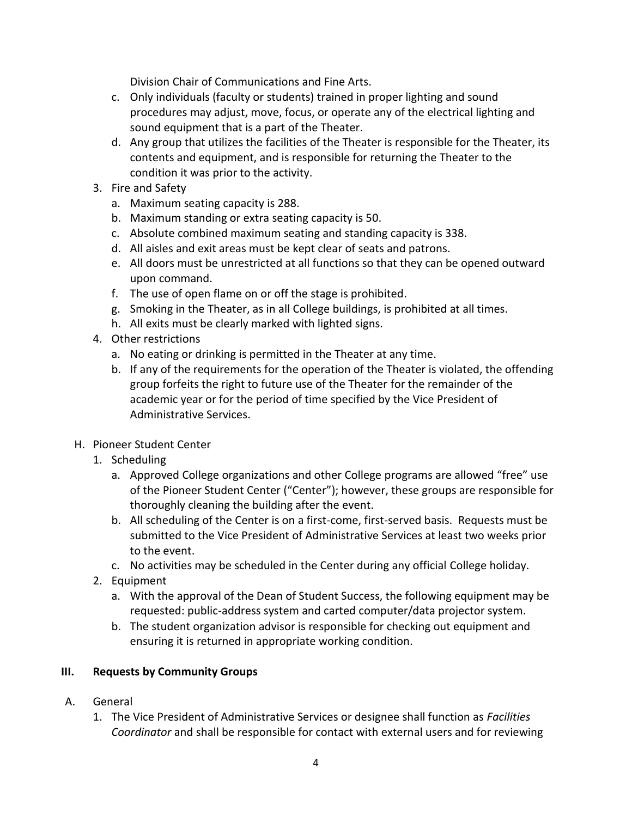Division Chair of Communications and Fine Arts.

- c. Only individuals (faculty or students) trained in proper lighting and sound procedures may adjust, move, focus, or operate any of the electrical lighting and sound equipment that is a part of the Theater.
- d. Any group that utilizes the facilities of the Theater is responsible for the Theater, its contents and equipment, and is responsible for returning the Theater to the condition it was prior to the activity.
- 3. Fire and Safety
	- a. Maximum seating capacity is 288.
	- b. Maximum standing or extra seating capacity is 50.
	- c. Absolute combined maximum seating and standing capacity is 338.
	- d. All aisles and exit areas must be kept clear of seats and patrons.
	- e. All doors must be unrestricted at all functions so that they can be opened outward upon command.
	- f. The use of open flame on or off the stage is prohibited.
	- g. Smoking in the Theater, as in all College buildings, is prohibited at all times.
	- h. All exits must be clearly marked with lighted signs.
- 4. Other restrictions
	- a. No eating or drinking is permitted in the Theater at any time.
	- b. If any of the requirements for the operation of the Theater is violated, the offending group forfeits the right to future use of the Theater for the remainder of the academic year or for the period of time specified by the Vice President of Administrative Services.
- H. Pioneer Student Center
	- 1. Scheduling
		- a. Approved College organizations and other College programs are allowed "free" use of the Pioneer Student Center ("Center"); however, these groups are responsible for thoroughly cleaning the building after the event.
		- b. All scheduling of the Center is on a first-come, first-served basis. Requests must be submitted to the Vice President of Administrative Services at least two weeks prior to the event.
		- c. No activities may be scheduled in the Center during any official College holiday.
	- 2. Equipment
		- a. With the approval of the Dean of Student Success, the following equipment may be requested: public-address system and carted computer/data projector system.
		- b. The student organization advisor is responsible for checking out equipment and ensuring it is returned in appropriate working condition.

# **III. Requests by Community Groups**

- A. General
	- 1. The Vice President of Administrative Services or designee shall function as *Facilities Coordinator* and shall be responsible for contact with external users and for reviewing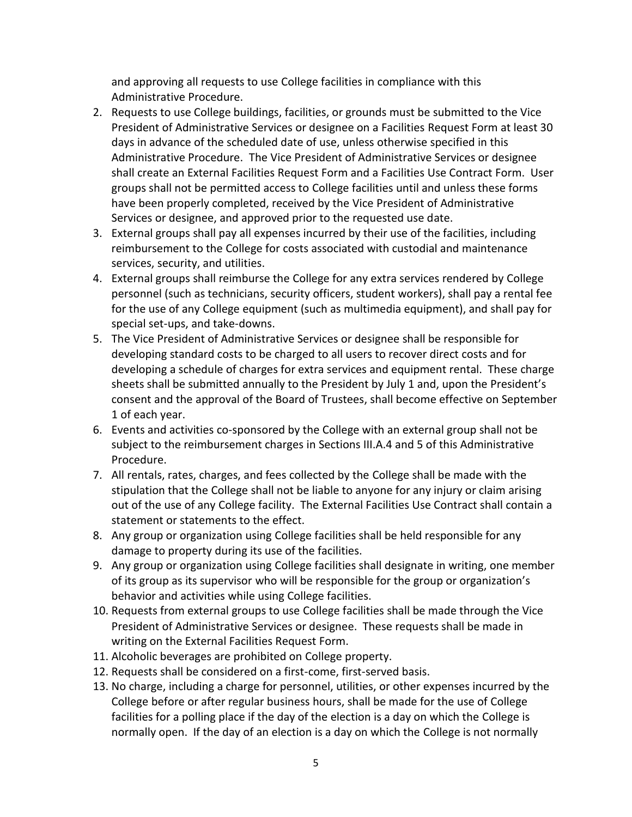and approving all requests to use College facilities in compliance with this Administrative Procedure.

- 2. Requests to use College buildings, facilities, or grounds must be submitted to the Vice President of Administrative Services or designee on a Facilities Request Form at least 30 days in advance of the scheduled date of use, unless otherwise specified in this Administrative Procedure. The Vice President of Administrative Services or designee shall create an External Facilities Request Form and a Facilities Use Contract Form. User groups shall not be permitted access to College facilities until and unless these forms have been properly completed, received by the Vice President of Administrative Services or designee, and approved prior to the requested use date.
- 3. External groups shall pay all expenses incurred by their use of the facilities, including reimbursement to the College for costs associated with custodial and maintenance services, security, and utilities.
- 4. External groups shall reimburse the College for any extra services rendered by College personnel (such as technicians, security officers, student workers), shall pay a rental fee for the use of any College equipment (such as multimedia equipment), and shall pay for special set-ups, and take-downs.
- 5. The Vice President of Administrative Services or designee shall be responsible for developing standard costs to be charged to all users to recover direct costs and for developing a schedule of charges for extra services and equipment rental. These charge sheets shall be submitted annually to the President by July 1 and, upon the President's consent and the approval of the Board of Trustees, shall become effective on September 1 of each year.
- 6. Events and activities co-sponsored by the College with an external group shall not be subject to the reimbursement charges in Sections III.A.4 and 5 of this Administrative Procedure.
- 7. All rentals, rates, charges, and fees collected by the College shall be made with the stipulation that the College shall not be liable to anyone for any injury or claim arising out of the use of any College facility. The External Facilities Use Contract shall contain a statement or statements to the effect.
- 8. Any group or organization using College facilities shall be held responsible for any damage to property during its use of the facilities.
- 9. Any group or organization using College facilities shall designate in writing, one member of its group as its supervisor who will be responsible for the group or organization's behavior and activities while using College facilities.
- 10. Requests from external groups to use College facilities shall be made through the Vice President of Administrative Services or designee. These requests shall be made in writing on the External Facilities Request Form.
- 11. Alcoholic beverages are prohibited on College property.
- 12. Requests shall be considered on a first-come, first-served basis.
- 13. No charge, including a charge for personnel, utilities, or other expenses incurred by the College before or after regular business hours, shall be made for the use of College facilities for a polling place if the day of the election is a day on which the College is normally open. If the day of an election is a day on which the College is not normally